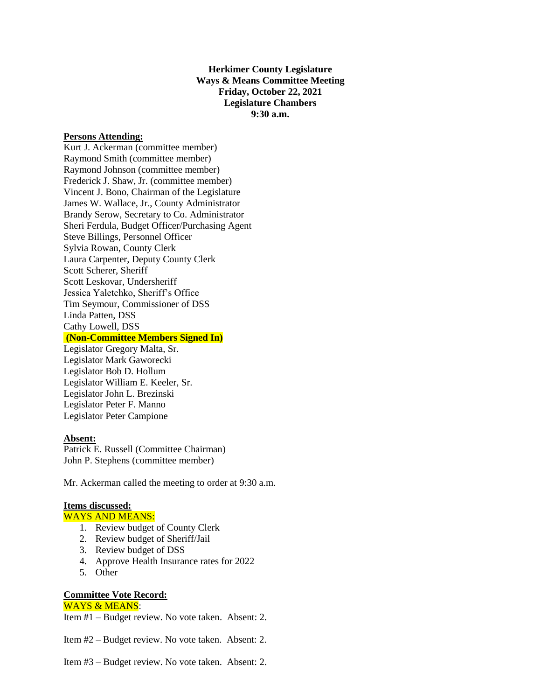**Herkimer County Legislature Ways & Means Committee Meeting Friday, October 22, 2021 Legislature Chambers 9:30 a.m.**

### **Persons Attending:**

Kurt J. Ackerman (committee member) Raymond Smith (committee member) Raymond Johnson (committee member) Frederick J. Shaw, Jr. (committee member) Vincent J. Bono, Chairman of the Legislature James W. Wallace, Jr., County Administrator Brandy Serow, Secretary to Co. Administrator Sheri Ferdula, Budget Officer/Purchasing Agent Steve Billings, Personnel Officer Sylvia Rowan, County Clerk Laura Carpenter, Deputy County Clerk Scott Scherer, Sheriff Scott Leskovar, Undersheriff Jessica Yaletchko, Sheriff's Office Tim Seymour, Commissioner of DSS Linda Patten, DSS Cathy Lowell, DSS

# **(Non-Committee Members Signed In)**

Legislator Gregory Malta, Sr. Legislator Mark Gaworecki Legislator Bob D. Hollum Legislator William E. Keeler, Sr. Legislator John L. Brezinski Legislator Peter F. Manno Legislator Peter Campione

## **Absent:**

Patrick E. Russell (Committee Chairman) John P. Stephens (committee member)

Mr. Ackerman called the meeting to order at 9:30 a.m.

#### **Items discussed:**

# WAYS AND MEANS:

- 1. Review budget of County Clerk
- 2. Review budget of Sheriff/Jail
- 3. Review budget of DSS
- 4. Approve Health Insurance rates for 2022
- 5. Other

# **Committee Vote Record:**

# WAYS & MEANS:

Item #1 – Budget review. No vote taken. Absent: 2.

Item #2 – Budget review. No vote taken. Absent: 2.

Item #3 – Budget review. No vote taken. Absent: 2.